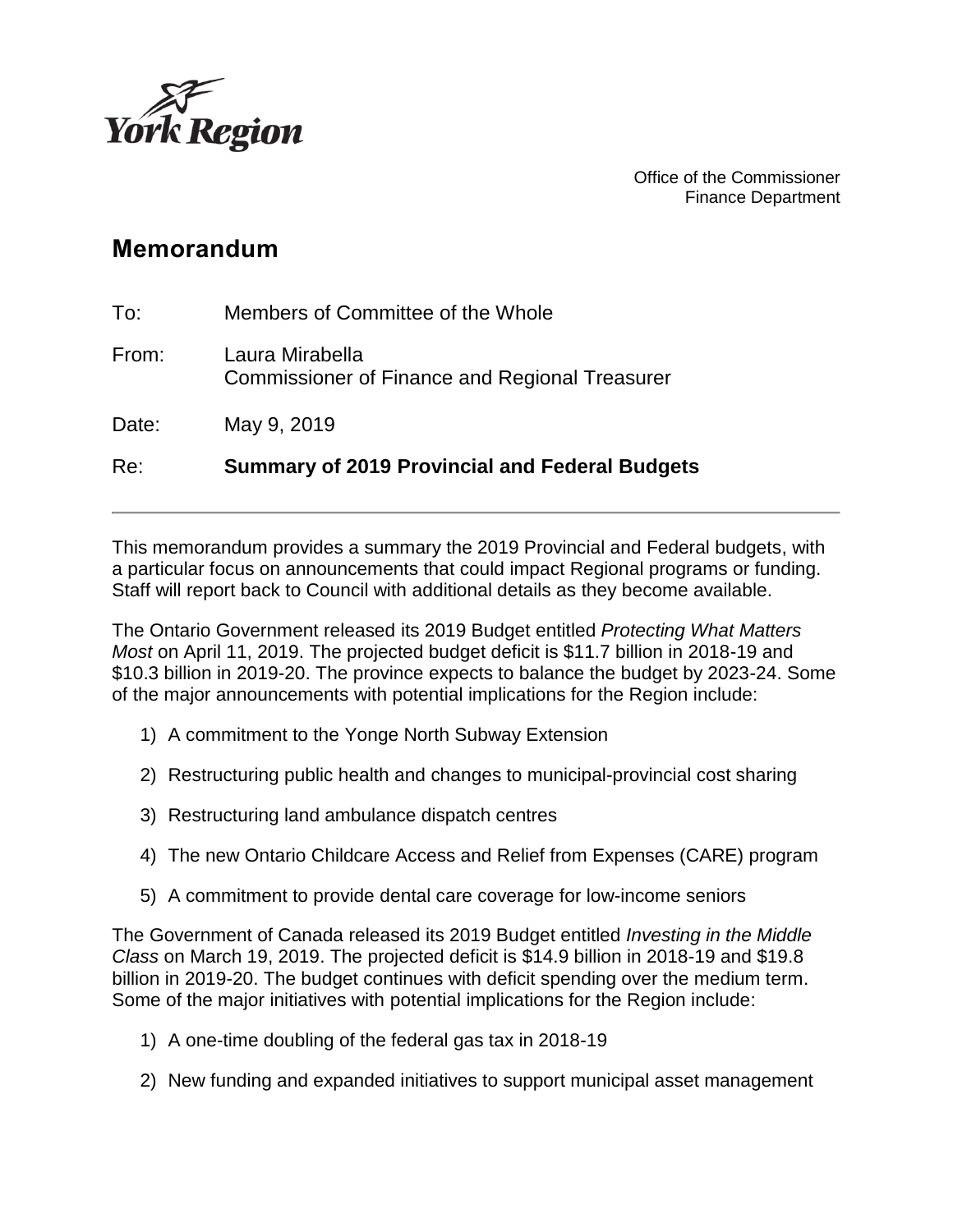

Office of the Commissioner Finance Department

# **Memorandum**

| Re:   | <b>Summary of 2019 Provincial and Federal Budgets</b>                    |
|-------|--------------------------------------------------------------------------|
| Date: | May 9, 2019                                                              |
| From: | Laura Mirabella<br><b>Commissioner of Finance and Regional Treasurer</b> |
| To:   | Members of Committee of the Whole                                        |

This memorandum provides a summary the 2019 Provincial and Federal budgets, with a particular focus on announcements that could impact Regional programs or funding. Staff will report back to Council with additional details as they become available.

The Ontario Government released its 2019 Budget entitled *Protecting What Matters Most* on April 11, 2019. The projected budget deficit is \$11.7 billion in 2018-19 and \$10.3 billion in 2019-20. The province expects to balance the budget by 2023-24. Some of the major announcements with potential implications for the Region include:

- 1) A commitment to the Yonge North Subway Extension
- 2) Restructuring public health and changes to municipal-provincial cost sharing
- 3) Restructuring land ambulance dispatch centres
- 4) The new Ontario Childcare Access and Relief from Expenses (CARE) program
- 5) A commitment to provide dental care coverage for low-income seniors

The Government of Canada released its 2019 Budget entitled *Investing in the Middle Class* on March 19, 2019. The projected deficit is \$14.9 billion in 2018-19 and \$19.8 billion in 2019-20. The budget continues with deficit spending over the medium term. Some of the major initiatives with potential implications for the Region include:

- 1) A one-time doubling of the federal gas tax in 2018-19
- 2) New funding and expanded initiatives to support municipal asset management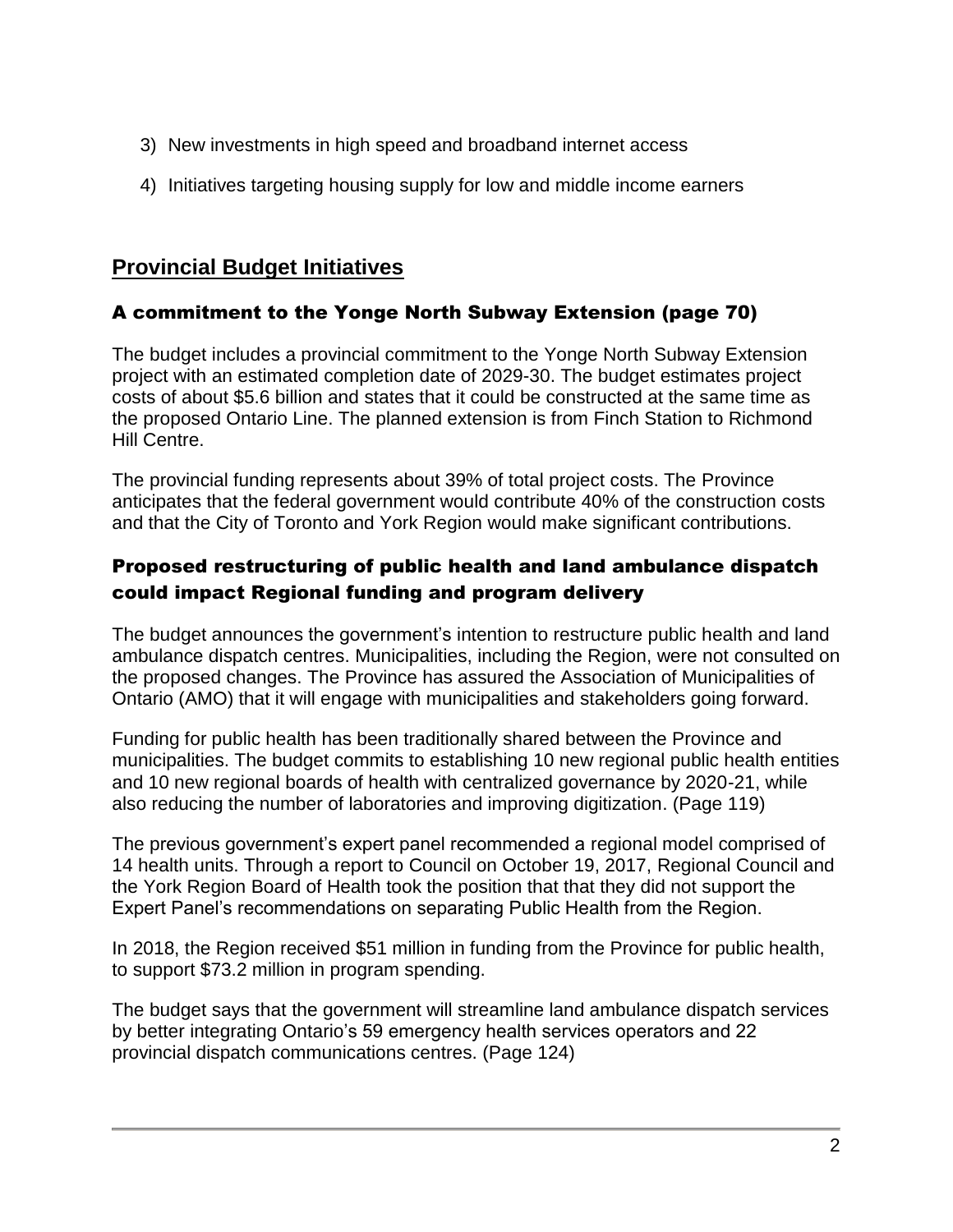- 3) New investments in high speed and broadband internet access
- 4) Initiatives targeting housing supply for low and middle income earners

# **Provincial Budget Initiatives**

## A commitment to the Yonge North Subway Extension (page 70)

The budget includes a provincial commitment to the Yonge North Subway Extension project with an estimated completion date of 2029-30. The budget estimates project costs of about \$5.6 billion and states that it could be constructed at the same time as the proposed Ontario Line. The planned extension is from Finch Station to Richmond Hill Centre.

The provincial funding represents about 39% of total project costs. The Province anticipates that the federal government would contribute 40% of the construction costs and that the City of Toronto and York Region would make significant contributions.

## Proposed restructuring of public health and land ambulance dispatch could impact Regional funding and program delivery

The budget announces the government's intention to restructure public health and land ambulance dispatch centres. Municipalities, including the Region, were not consulted on the proposed changes. The Province has assured the Association of Municipalities of Ontario (AMO) that it will engage with municipalities and stakeholders going forward.

Funding for public health has been traditionally shared between the Province and municipalities. The budget commits to establishing 10 new regional public health entities and 10 new regional boards of health with centralized governance by 2020-21, while also reducing the number of laboratories and improving digitization. (Page 119)

The previous government's expert panel recommended a regional model comprised of 14 health units. Through a report to Council on October 19, 2017, Regional Council and the York Region Board of Health took the position that that they did not support the Expert Panel's recommendations on separating Public Health from the Region.

In 2018, the Region received \$51 million in funding from the Province for public health, to support \$73.2 million in program spending.

The budget says that the government will streamline land ambulance dispatch services by better integrating Ontario's 59 emergency health services operators and 22 provincial dispatch communications centres. (Page 124)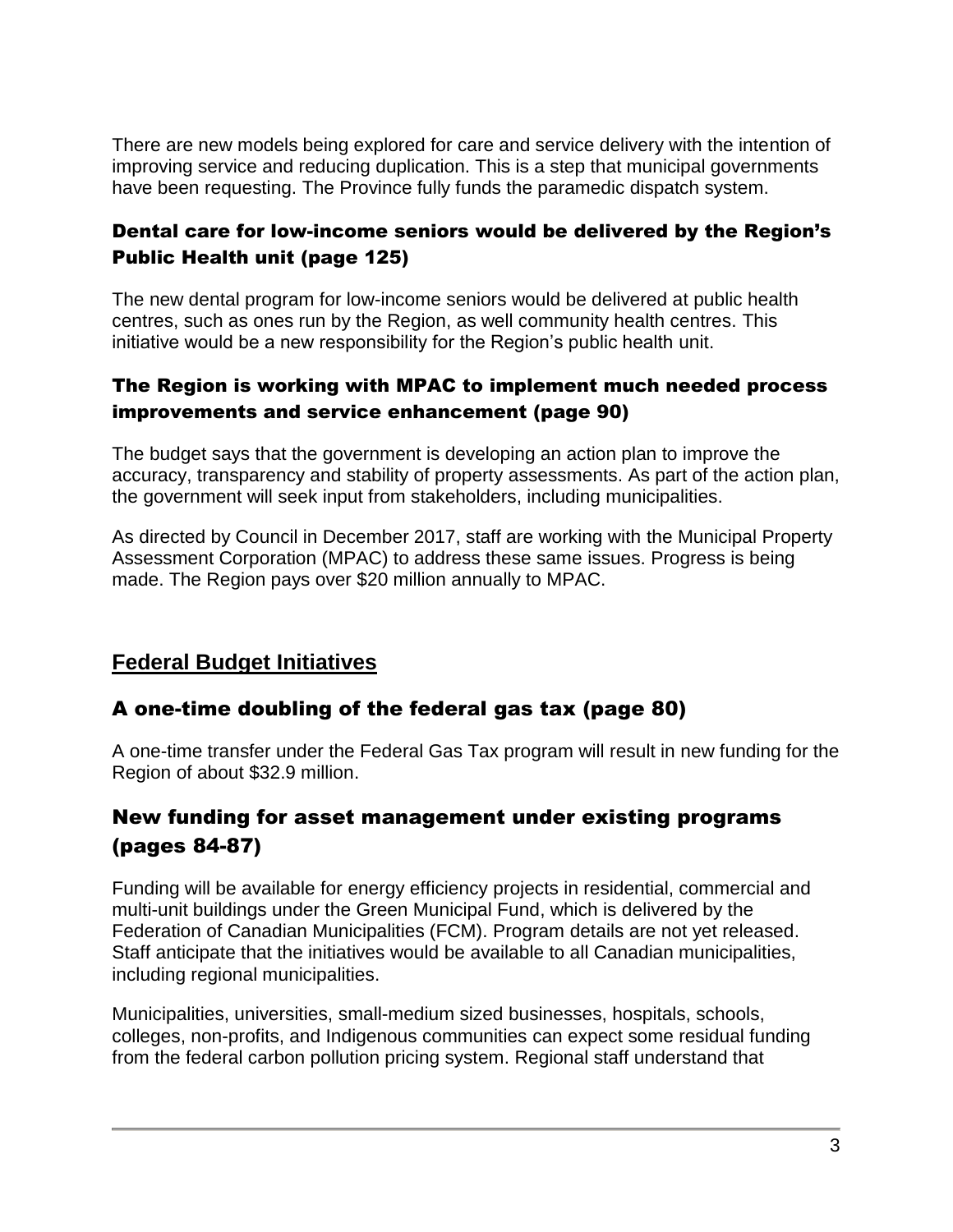There are new models being explored for care and service delivery with the intention of improving service and reducing duplication. This is a step that municipal governments have been requesting. The Province fully funds the paramedic dispatch system.

## Dental care for low-income seniors would be delivered by the Region's Public Health unit (page 125)

The new dental program for low-income seniors would be delivered at public health centres, such as ones run by the Region, as well community health centres. This initiative would be a new responsibility for the Region's public health unit.

## The Region is working with MPAC to implement much needed process improvements and service enhancement (page 90)

The budget says that the government is developing an action plan to improve the accuracy, transparency and stability of property assessments. As part of the action plan, the government will seek input from stakeholders, including municipalities.

As directed by Council in December 2017, staff are working with the Municipal Property Assessment Corporation (MPAC) to address these same issues. Progress is being made. The Region pays over \$20 million annually to MPAC.

# **Federal Budget Initiatives**

## A one-time doubling of the federal gas tax (page 80)

A one-time transfer under the Federal Gas Tax program will result in new funding for the Region of about \$32.9 million.

## New funding for asset management under existing programs (pages 84-87)

Funding will be available for energy efficiency projects in residential, commercial and multi-unit buildings under the Green Municipal Fund, which is delivered by the Federation of Canadian Municipalities (FCM). Program details are not yet released. Staff anticipate that the initiatives would be available to all Canadian municipalities, including regional municipalities.

Municipalities, universities, small-medium sized businesses, hospitals, schools, colleges, non-profits, and Indigenous communities can expect some residual funding from the federal carbon pollution pricing system. Regional staff understand that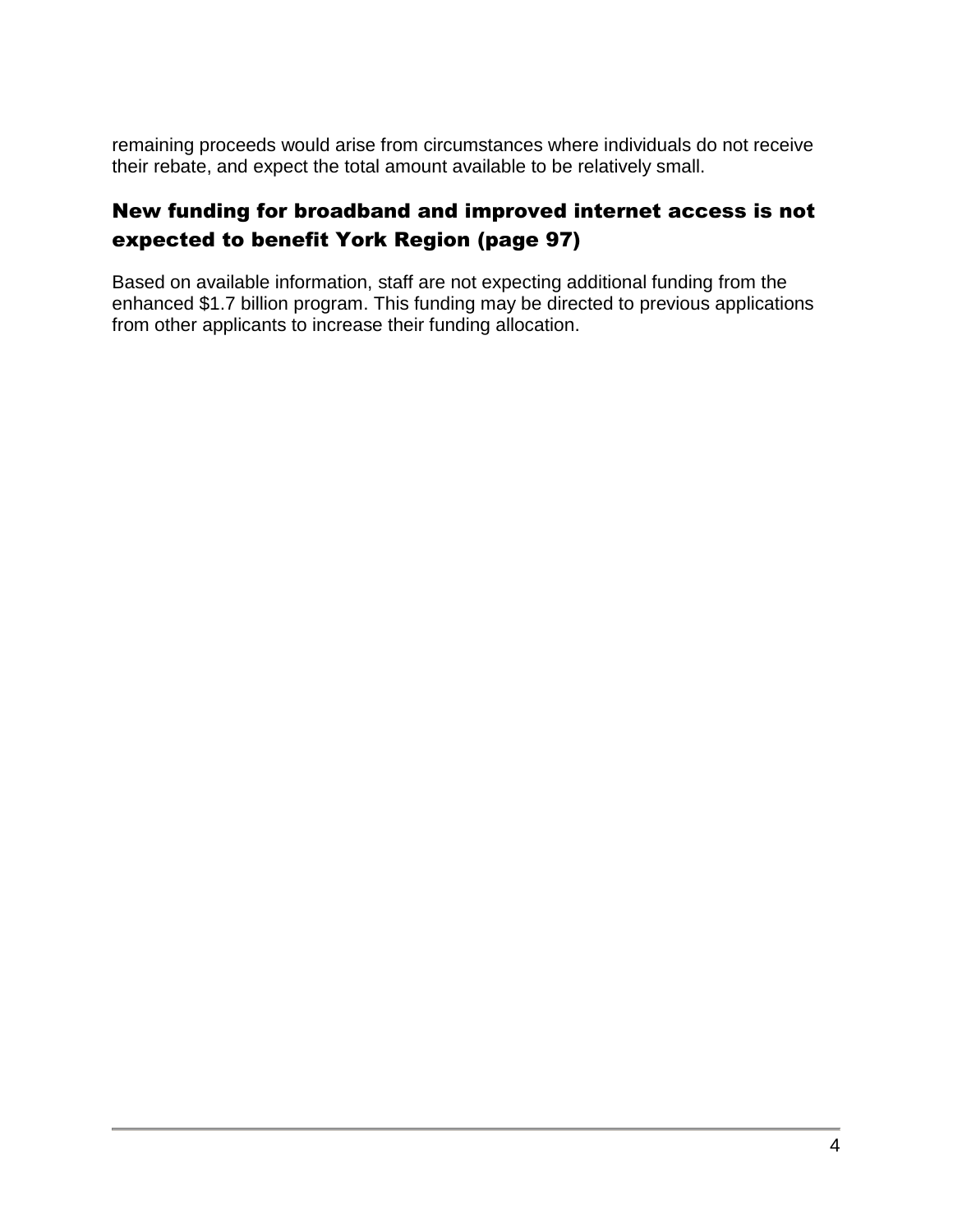remaining proceeds would arise from circumstances where individuals do not receive their rebate, and expect the total amount available to be relatively small.

# New funding for broadband and improved internet access is not expected to benefit York Region (page 97)

Based on available information, staff are not expecting additional funding from the enhanced \$1.7 billion program. This funding may be directed to previous applications from other applicants to increase their funding allocation.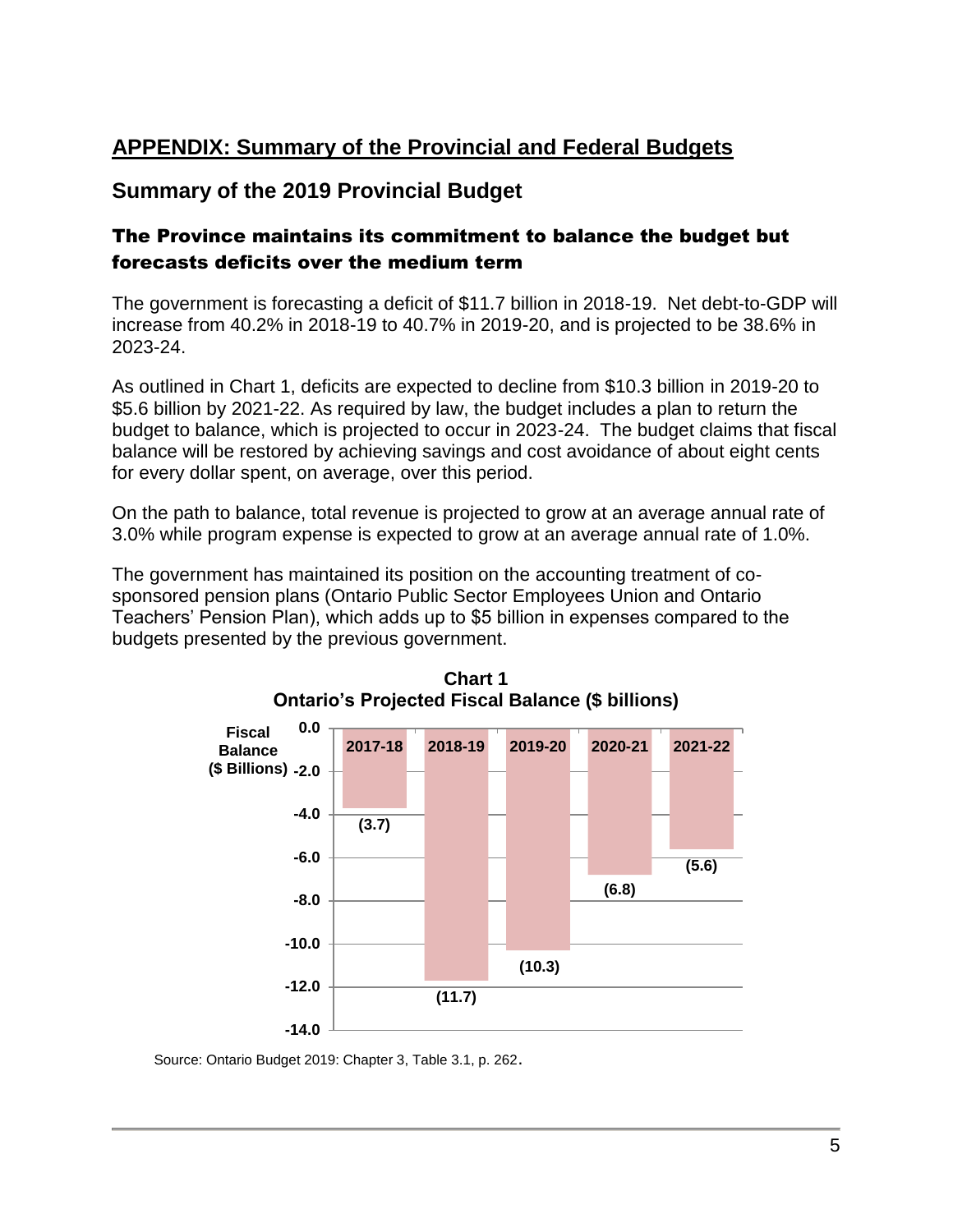# **APPENDIX: Summary of the Provincial and Federal Budgets**

## **Summary of the 2019 Provincial Budget**

### The Province maintains its commitment to balance the budget but forecasts deficits over the medium term

The government is forecasting a deficit of \$11.7 billion in 2018-19. Net debt-to-GDP will increase from 40.2% in 2018-19 to 40.7% in 2019-20, and is projected to be 38.6% in 2023-24.

As outlined in Chart 1, deficits are expected to decline from \$10.3 billion in 2019-20 to \$5.6 billion by 2021-22. As required by law, the budget includes a plan to return the budget to balance, which is projected to occur in 2023-24. The budget claims that fiscal balance will be restored by achieving savings and cost avoidance of about eight cents for every dollar spent, on average, over this period.

On the path to balance, total revenue is projected to grow at an average annual rate of 3.0% while program expense is expected to grow at an average annual rate of 1.0%.

The government has maintained its position on the accounting treatment of cosponsored pension plans (Ontario Public Sector Employees Union and Ontario Teachers' Pension Plan), which adds up to \$5 billion in expenses compared to the budgets presented by the previous government.



**Chart 1 Ontario's Projected Fiscal Balance (\$ billions)**

Source: Ontario Budget 2019: Chapter 3, Table 3.1, p. 262.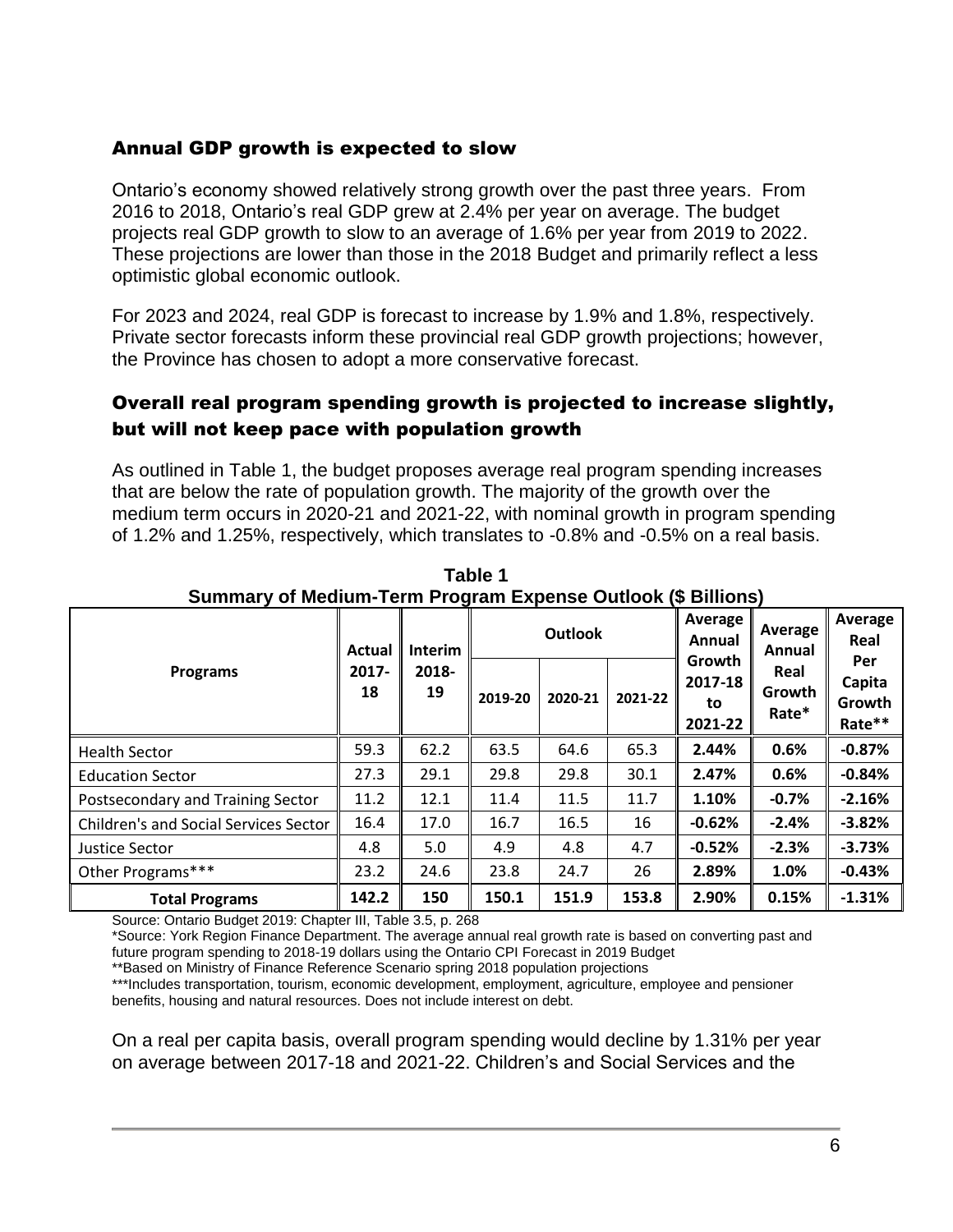#### Annual GDP growth is expected to slow

Ontario's economy showed relatively strong growth over the past three years. From 2016 to 2018, Ontario's real GDP grew at 2.4% per year on average. The budget projects real GDP growth to slow to an average of 1.6% per year from 2019 to 2022. These projections are lower than those in the 2018 Budget and primarily reflect a less optimistic global economic outlook.

For 2023 and 2024, real GDP is forecast to increase by 1.9% and 1.8%, respectively. Private sector forecasts inform these provincial real GDP growth projections; however, the Province has chosen to adopt a more conservative forecast.

#### Overall real program spending growth is projected to increase slightly, but will not keep pace with population growth

As outlined in Table 1, the budget proposes average real program spending increases that are below the rate of population growth. The majority of the growth over the medium term occurs in 2020-21 and 2021-22, with nominal growth in program spending of 1.2% and 1.25%, respectively, which translates to -0.8% and -0.5% on a real basis.

|                                              | Actual<br>$2017 -$<br>18 | <b>Interim</b><br>2018-<br>19 |         | <b>Outlook</b> |         | Average<br>Annual<br>Growth<br>2017-18<br>to<br>2021-22 | Average<br>Annual<br>Real<br>Growth<br>Rate* | Average<br>Real<br>Per<br>Capita<br>Growth<br>Rate** |
|----------------------------------------------|--------------------------|-------------------------------|---------|----------------|---------|---------------------------------------------------------|----------------------------------------------|------------------------------------------------------|
| <b>Programs</b>                              |                          |                               | 2019-20 | 2020-21        | 2021-22 |                                                         |                                              |                                                      |
| <b>Health Sector</b>                         | 59.3                     | 62.2                          | 63.5    | 64.6           | 65.3    | 2.44%                                                   | 0.6%                                         | $-0.87%$                                             |
| <b>Education Sector</b>                      | 27.3                     | 29.1                          | 29.8    | 29.8           | 30.1    | 2.47%                                                   | 0.6%                                         | $-0.84%$                                             |
| Postsecondary and Training Sector            | 11.2                     | 12.1                          | 11.4    | 11.5           | 11.7    | 1.10%                                                   | $-0.7%$                                      | $-2.16%$                                             |
| <b>Children's and Social Services Sector</b> | 16.4                     | 17.0                          | 16.7    | 16.5           | 16      | $-0.62%$                                                | $-2.4%$                                      | $-3.82%$                                             |
| Justice Sector                               | 4.8                      | 5.0                           | 4.9     | 4.8            | 4.7     | $-0.52%$                                                | $-2.3%$                                      | $-3.73%$                                             |
| Other Programs***                            | 23.2                     | 24.6                          | 23.8    | 24.7           | 26      | 2.89%                                                   | 1.0%                                         | $-0.43%$                                             |
| <b>Total Programs</b>                        | 142.2                    | 150                           | 150.1   | 151.9          | 153.8   | 2.90%                                                   | 0.15%                                        | $-1.31%$                                             |

**Table 1 Summary of Medium-Term Program Expense Outlook (\$ Billions)**

Source: Ontario Budget 2019: Chapter III, Table 3.5, p. 268

\*Source: York Region Finance Department. The average annual real growth rate is based on converting past and future program spending to 2018-19 dollars using the Ontario CPI Forecast in 2019 Budget

\*\*Based on Ministry of Finance Reference Scenario spring 2018 population projections

\*\*\*Includes transportation, tourism, economic development, employment, agriculture, employee and pensioner benefits, housing and natural resources. Does not include interest on debt.

On a real per capita basis, overall program spending would decline by 1.31% per year on average between 2017-18 and 2021-22. Children's and Social Services and the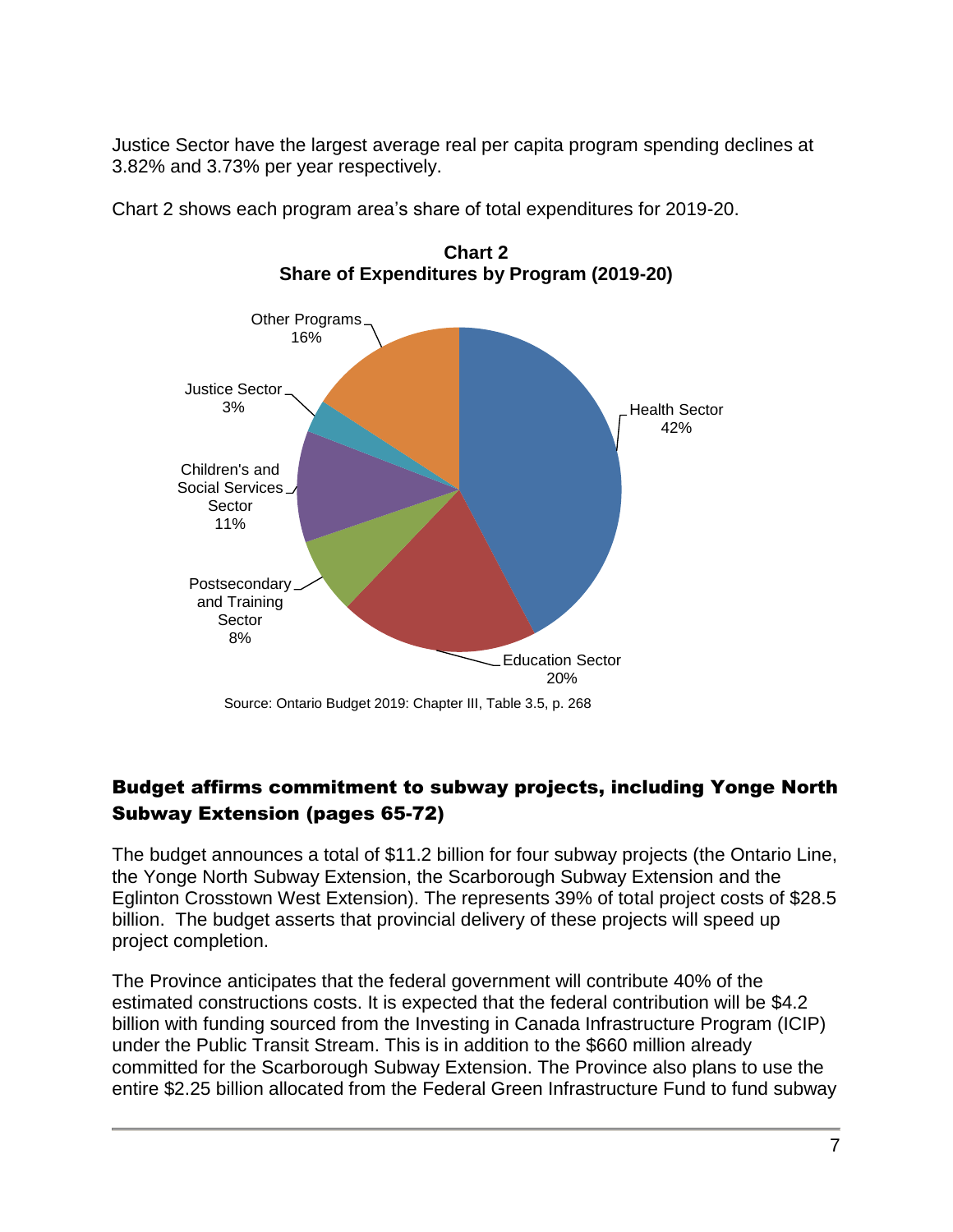Justice Sector have the largest average real per capita program spending declines at 3.82% and 3.73% per year respectively.





**Chart 2 Share of Expenditures by Program (2019-20)**

## Budget affirms commitment to subway projects, including Yonge North Subway Extension (pages 65-72)

The budget announces a total of \$11.2 billion for four subway projects (the Ontario Line, the Yonge North Subway Extension, the Scarborough Subway Extension and the Eglinton Crosstown West Extension). The represents 39% of total project costs of \$28.5 billion. The budget asserts that provincial delivery of these projects will speed up project completion.

The Province anticipates that the federal government will contribute 40% of the estimated constructions costs. It is expected that the federal contribution will be \$4.2 billion with funding sourced from the Investing in Canada Infrastructure Program (ICIP) under the Public Transit Stream. This is in addition to the \$660 million already committed for the Scarborough Subway Extension. The Province also plans to use the entire \$2.25 billion allocated from the Federal Green Infrastructure Fund to fund subway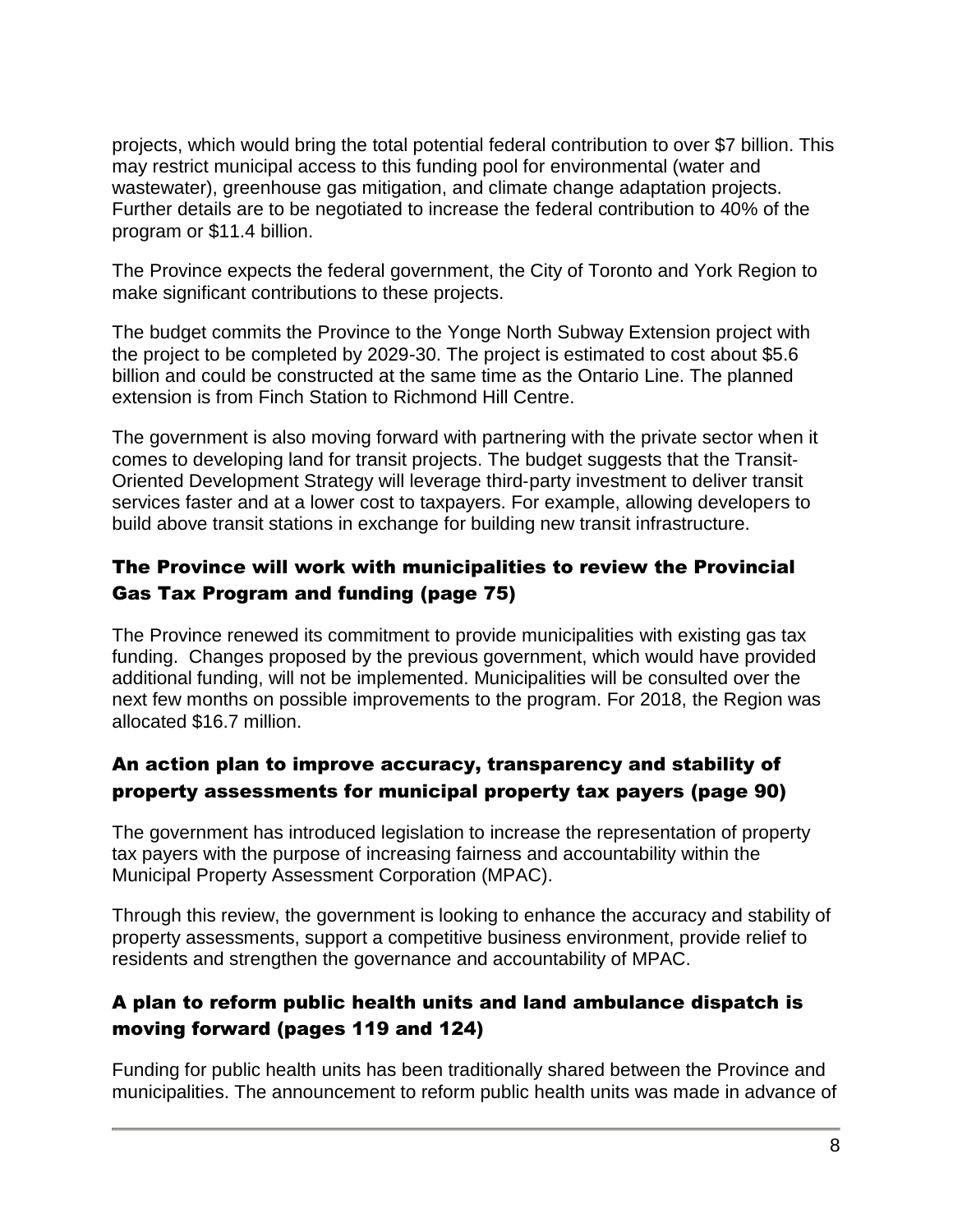projects, which would bring the total potential federal contribution to over \$7 billion. This may restrict municipal access to this funding pool for environmental (water and wastewater), greenhouse gas mitigation, and climate change adaptation projects. Further details are to be negotiated to increase the federal contribution to 40% of the program or \$11.4 billion.

The Province expects the federal government, the City of Toronto and York Region to make significant contributions to these projects.

The budget commits the Province to the Yonge North Subway Extension project with the project to be completed by 2029-30. The project is estimated to cost about \$5.6 billion and could be constructed at the same time as the Ontario Line. The planned extension is from Finch Station to Richmond Hill Centre.

The government is also moving forward with partnering with the private sector when it comes to developing land for transit projects. The budget suggests that the Transit‐ Oriented Development Strategy will leverage third‐party investment to deliver transit services faster and at a lower cost to taxpayers. For example, allowing developers to build above transit stations in exchange for building new transit infrastructure.

### The Province will work with municipalities to review the Provincial Gas Tax Program and funding (page 75)

The Province renewed its commitment to provide municipalities with existing gas tax funding. Changes proposed by the previous government, which would have provided additional funding, will not be implemented. Municipalities will be consulted over the next few months on possible improvements to the program. For 2018, the Region was allocated \$16.7 million.

## An action plan to improve accuracy, transparency and stability of property assessments for municipal property tax payers (page 90)

The government has introduced legislation to increase the representation of property tax payers with the purpose of increasing fairness and accountability within the Municipal Property Assessment Corporation (MPAC).

Through this review, the government is looking to enhance the accuracy and stability of property assessments, support a competitive business environment, provide relief to residents and strengthen the governance and accountability of MPAC.

### A plan to reform public health units and land ambulance dispatch is moving forward (pages 119 and 124)

Funding for public health units has been traditionally shared between the Province and municipalities. The announcement to reform public health units was made in advance of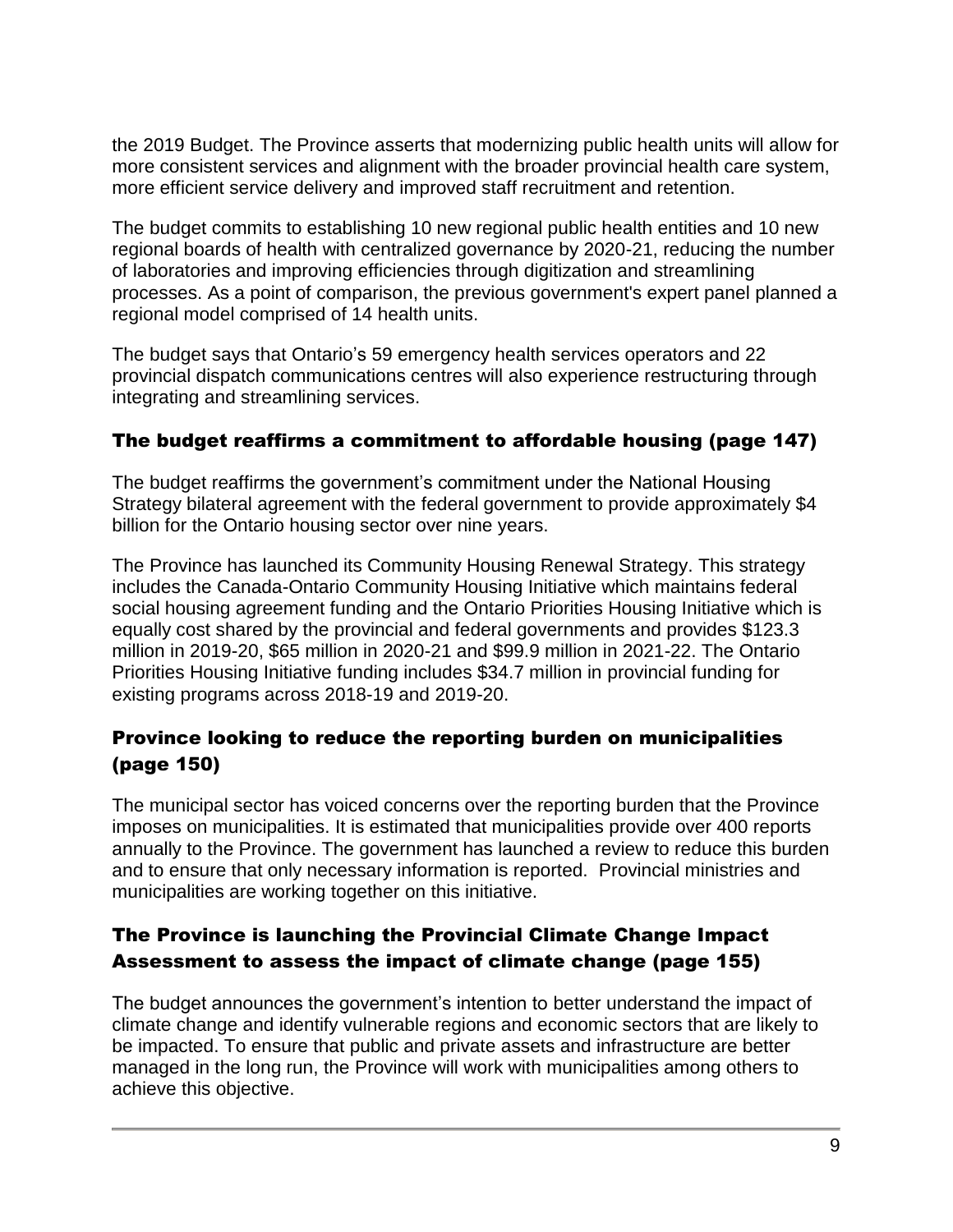the 2019 Budget. The Province asserts that modernizing public health units will allow for more consistent services and alignment with the broader provincial health care system, more efficient service delivery and improved staff recruitment and retention.

The budget commits to establishing 10 new regional public health entities and 10 new regional boards of health with centralized governance by 2020-21, reducing the number of laboratories and improving efficiencies through digitization and streamlining processes. As a point of comparison, the previous government's expert panel planned a regional model comprised of 14 health units.

The budget says that Ontario's 59 emergency health services operators and 22 provincial dispatch communications centres will also experience restructuring through integrating and streamlining services.

### The budget reaffirms a commitment to affordable housing (page 147)

The budget reaffirms the government's commitment under the National Housing Strategy bilateral agreement with the federal government to provide approximately \$4 billion for the Ontario housing sector over nine years.

The Province has launched its Community Housing Renewal Strategy. This strategy includes the Canada-Ontario Community Housing Initiative which maintains federal social housing agreement funding and the Ontario Priorities Housing Initiative which is equally cost shared by the provincial and federal governments and provides \$123.3 million in 2019-20, \$65 million in 2020-21 and \$99.9 million in 2021-22. The Ontario Priorities Housing Initiative funding includes \$34.7 million in provincial funding for existing programs across 2018-19 and 2019-20.

### Province looking to reduce the reporting burden on municipalities (page 150)

The municipal sector has voiced concerns over the reporting burden that the Province imposes on municipalities. It is estimated that municipalities provide over 400 reports annually to the Province. The government has launched a review to reduce this burden and to ensure that only necessary information is reported. Provincial ministries and municipalities are working together on this initiative.

## The Province is launching the Provincial Climate Change Impact Assessment to assess the impact of climate change (page 155)

The budget announces the government's intention to better understand the impact of climate change and identify vulnerable regions and economic sectors that are likely to be impacted. To ensure that public and private assets and infrastructure are better managed in the long run, the Province will work with municipalities among others to achieve this objective.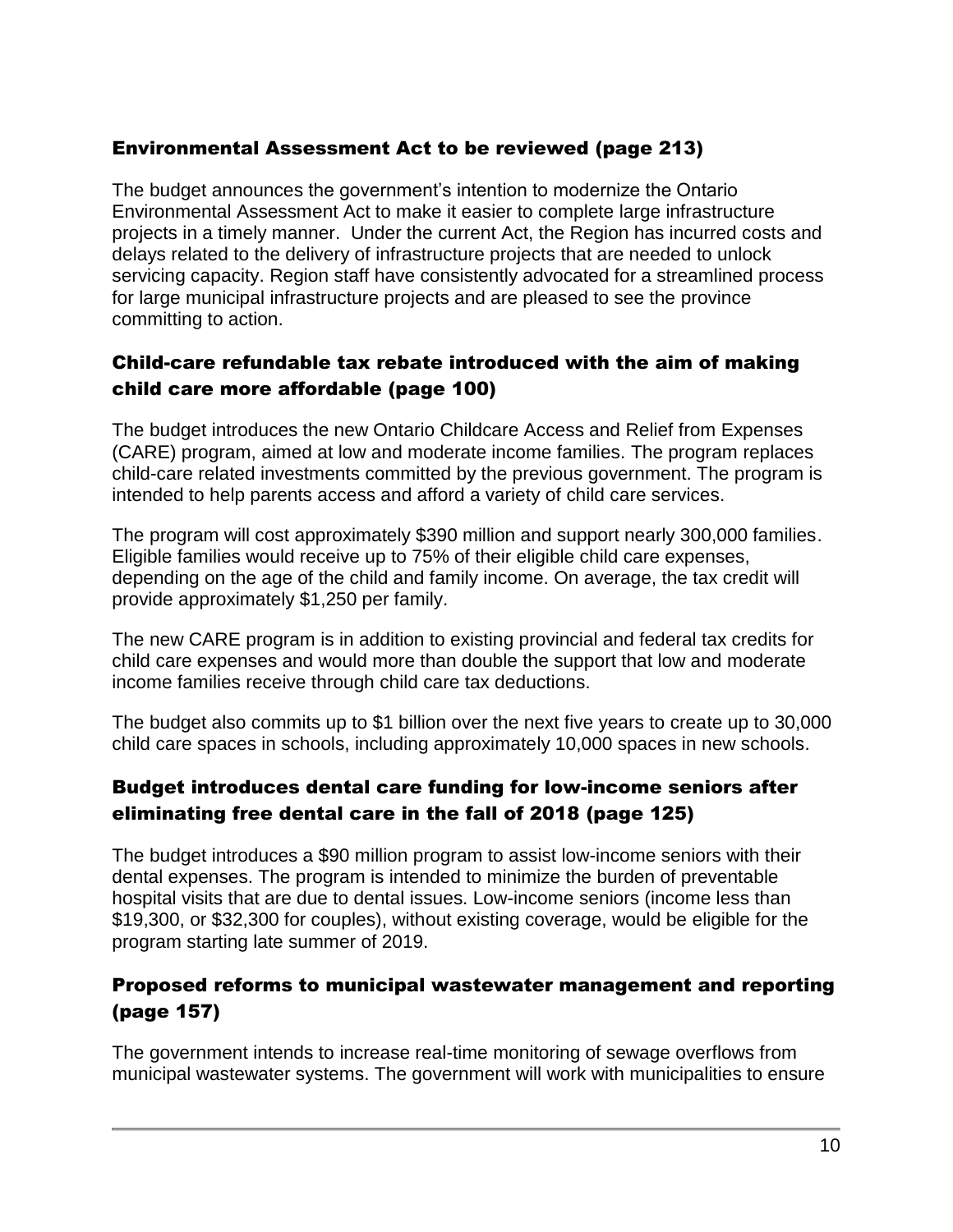### Environmental Assessment Act to be reviewed (page 213)

The budget announces the government's intention to modernize the Ontario Environmental Assessment Act to make it easier to complete large infrastructure projects in a timely manner. Under the current Act, the Region has incurred costs and delays related to the delivery of infrastructure projects that are needed to unlock servicing capacity. Region staff have consistently advocated for a streamlined process for large municipal infrastructure projects and are pleased to see the province committing to action.

## Child-care refundable tax rebate introduced with the aim of making child care more affordable (page 100)

The budget introduces the new Ontario Childcare Access and Relief from Expenses (CARE) program, aimed at low and moderate income families. The program replaces child-care related investments committed by the previous government. The program is intended to help parents access and afford a variety of child care services.

The program will cost approximately \$390 million and support nearly 300,000 families. Eligible families would receive up to 75% of their eligible child care expenses, depending on the age of the child and family income. On average, the tax credit will provide approximately \$1,250 per family.

The new CARE program is in addition to existing provincial and federal tax credits for child care expenses and would more than double the support that low and moderate income families receive through child care tax deductions.

The budget also commits up to \$1 billion over the next five years to create up to 30,000 child care spaces in schools, including approximately 10,000 spaces in new schools.

### Budget introduces dental care funding for low-income seniors after eliminating free dental care in the fall of 2018 (page 125)

The budget introduces a \$90 million program to assist low-income seniors with their dental expenses. The program is intended to minimize the burden of preventable hospital visits that are due to dental issues. Low-income seniors (income less than \$19,300, or \$32,300 for couples), without existing coverage, would be eligible for the program starting late summer of 2019.

### Proposed reforms to municipal wastewater management and reporting (page 157)

The government intends to increase real-time monitoring of sewage overflows from municipal wastewater systems. The government will work with municipalities to ensure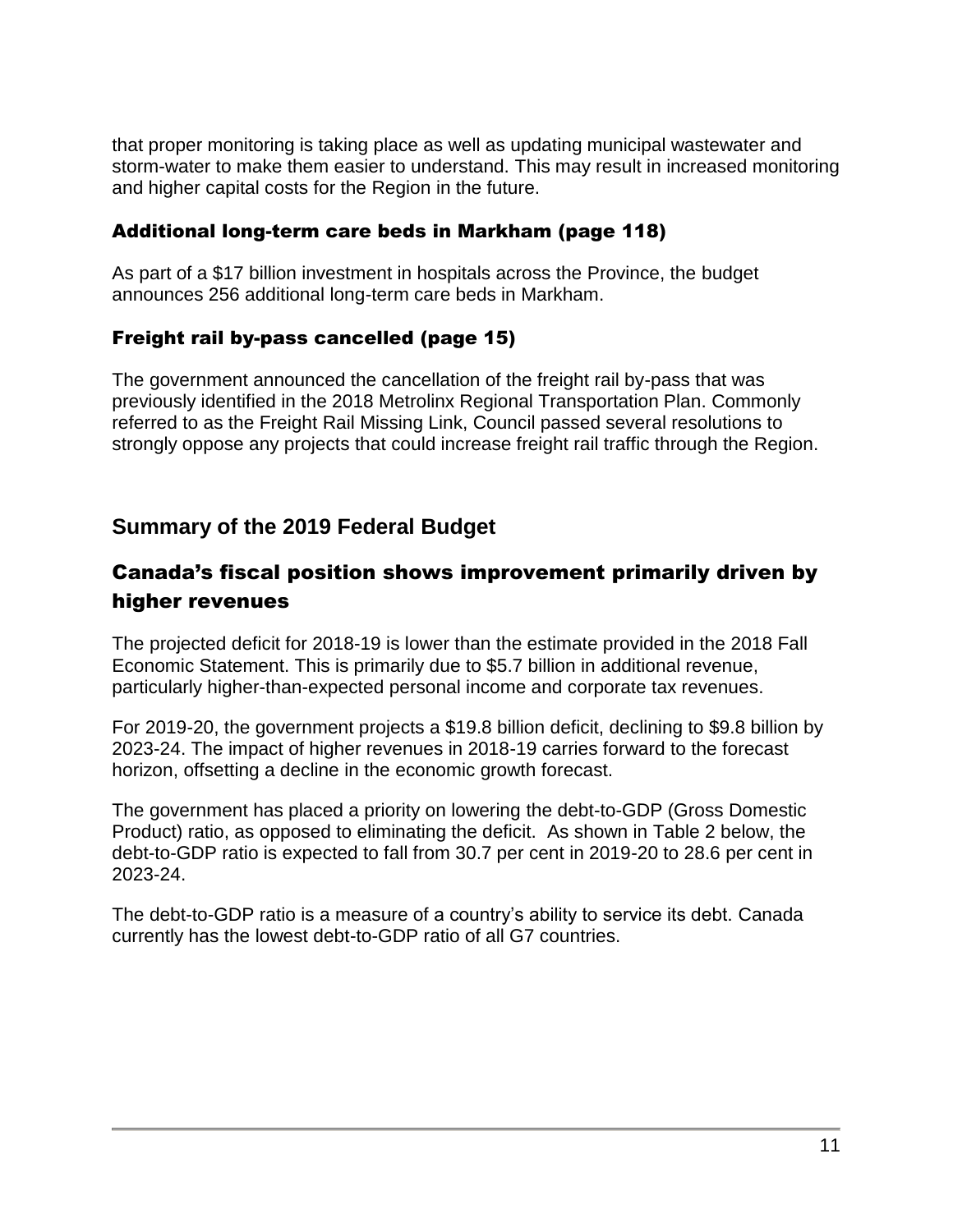that proper monitoring is taking place as well as updating municipal wastewater and storm-water to make them easier to understand. This may result in increased monitoring and higher capital costs for the Region in the future.

#### Additional long-term care beds in Markham (page 118)

As part of a \$17 billion investment in hospitals across the Province, the budget announces 256 additional long-term care beds in Markham.

### Freight rail by-pass cancelled (page 15)

The government announced the cancellation of the freight rail by-pass that was previously identified in the 2018 Metrolinx Regional Transportation Plan. Commonly referred to as the Freight Rail Missing Link, Council passed several resolutions to strongly oppose any projects that could increase freight rail traffic through the Region.

## **Summary of the 2019 Federal Budget**

# Canada's fiscal position shows improvement primarily driven by higher revenues

The projected deficit for 2018-19 is lower than the estimate provided in the 2018 Fall Economic Statement. This is primarily due to \$5.7 billion in additional revenue, particularly higher-than-expected personal income and corporate tax revenues.

For 2019-20, the government projects a \$19.8 billion deficit, declining to \$9.8 billion by 2023-24. The impact of higher revenues in 2018-19 carries forward to the forecast horizon, offsetting a decline in the economic growth forecast.

The government has placed a priority on lowering the debt-to-GDP (Gross Domestic Product) ratio, as opposed to eliminating the deficit. As shown in Table 2 below, the debt-to-GDP ratio is expected to fall from 30.7 per cent in 2019-20 to 28.6 per cent in 2023-24.

The debt-to-GDP ratio is a measure of a country's ability to service its debt. Canada currently has the lowest debt-to-GDP ratio of all G7 countries.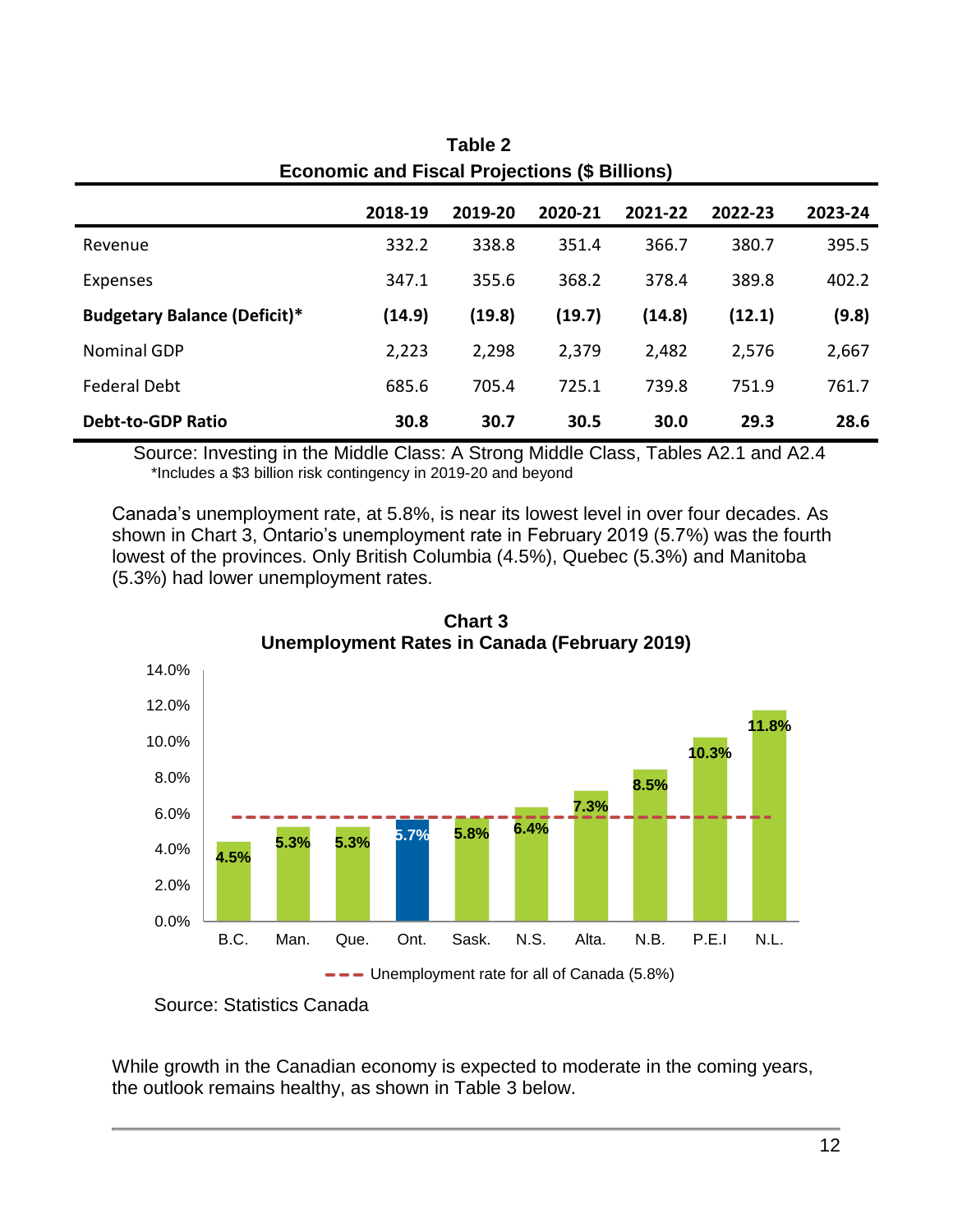| ECONOMIC AND FISCAL FIORCLIONS (9 BIMONS) |         |         |         |         |         |         |  |  |
|-------------------------------------------|---------|---------|---------|---------|---------|---------|--|--|
|                                           | 2018-19 | 2019-20 | 2020-21 | 2021-22 | 2022-23 | 2023-24 |  |  |
| Revenue                                   | 332.2   | 338.8   | 351.4   | 366.7   | 380.7   | 395.5   |  |  |
| Expenses                                  | 347.1   | 355.6   | 368.2   | 378.4   | 389.8   | 402.2   |  |  |
| <b>Budgetary Balance (Deficit)*</b>       | (14.9)  | (19.8)  | (19.7)  | (14.8)  | (12.1)  | (9.8)   |  |  |
| <b>Nominal GDP</b>                        | 2,223   | 2,298   | 2,379   | 2,482   | 2,576   | 2,667   |  |  |
| <b>Federal Debt</b>                       | 685.6   | 705.4   | 725.1   | 739.8   | 751.9   | 761.7   |  |  |
| <b>Debt-to-GDP Ratio</b>                  | 30.8    | 30.7    | 30.5    | 30.0    | 29.3    | 28.6    |  |  |

**Table 2 Economic and Fiscal Projections (\$ Billions)**

Source: Investing in the Middle Class: A Strong Middle Class, Tables A2.1 and A2.4 \*Includes a \$3 billion risk contingency in 2019-20 and beyond

Canada's unemployment rate, at 5.8%, is near its lowest level in over four decades. As shown in Chart 3, Ontario's unemployment rate in February 2019 (5.7%) was the fourth lowest of the provinces. Only British Columbia (4.5%), Quebec (5.3%) and Manitoba (5.3%) had lower unemployment rates.



**Chart 3 Unemployment Rates in Canada (February 2019)**

While growth in the Canadian economy is expected to moderate in the coming years, the outlook remains healthy, as shown in Table 3 below.

Source: Statistics Canada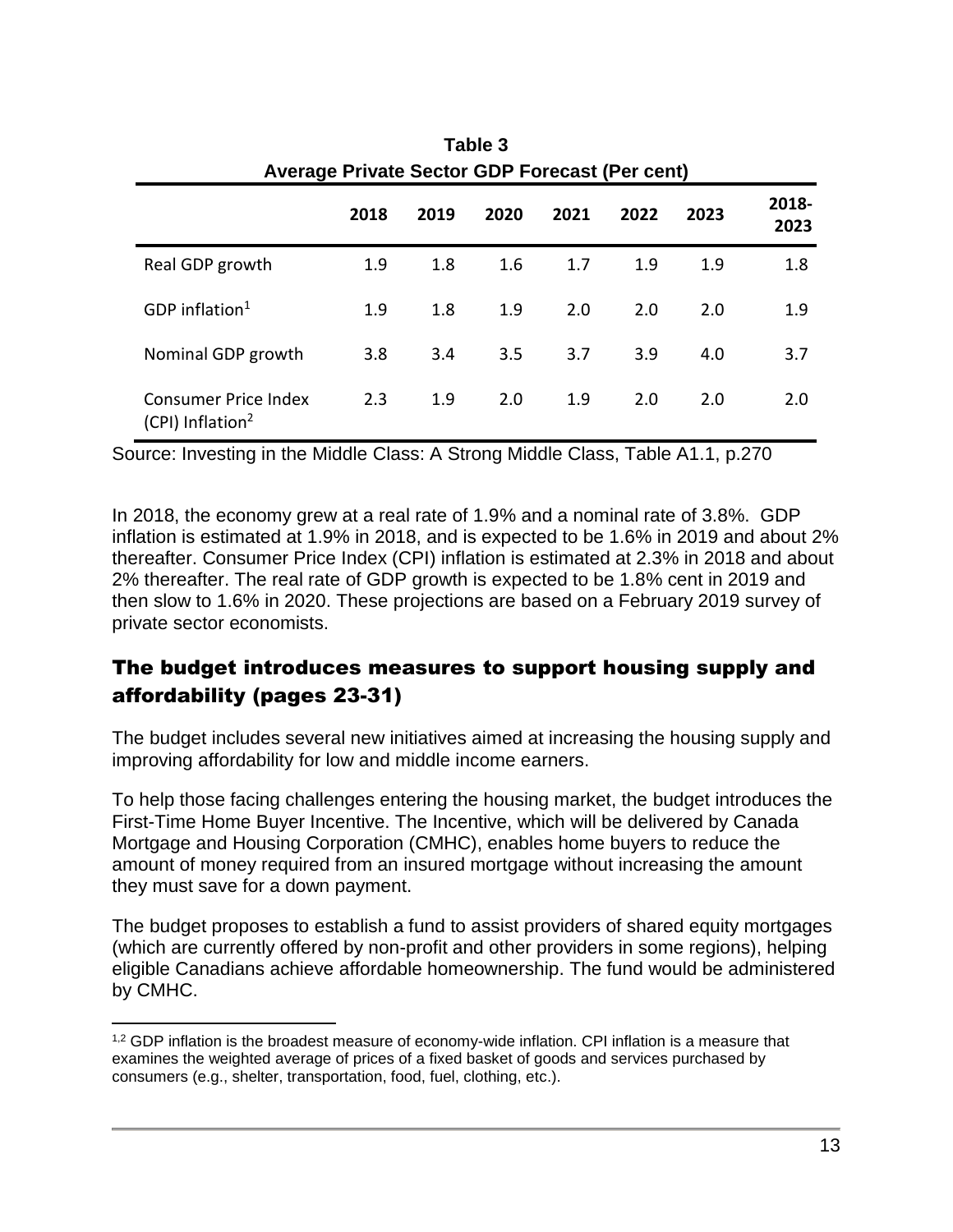| Table 3<br>Average Private Sector GDP Forecast (Per cent)   |      |      |      |      |      |      |               |  |  |
|-------------------------------------------------------------|------|------|------|------|------|------|---------------|--|--|
|                                                             | 2018 | 2019 | 2020 | 2021 | 2022 | 2023 | 2018-<br>2023 |  |  |
| Real GDP growth                                             | 1.9  | 1.8  | 1.6  | 1.7  | 1.9  | 1.9  | 1.8           |  |  |
| GDP inflation <sup>1</sup>                                  | 1.9  | 1.8  | 1.9  | 2.0  | 2.0  | 2.0  | 1.9           |  |  |
| Nominal GDP growth                                          | 3.8  | 3.4  | 3.5  | 3.7  | 3.9  | 4.0  | 3.7           |  |  |
| <b>Consumer Price Index</b><br>(CPI) Inflation <sup>2</sup> | 2.3  | 1.9  | 2.0  | 1.9  | 2.0  | 2.0  | 2.0           |  |  |

Source: Investing in the Middle Class: A Strong Middle Class, Table A1.1, p.270

In 2018, the economy grew at a real rate of 1.9% and a nominal rate of 3.8%. GDP inflation is estimated at 1.9% in 2018, and is expected to be 1.6% in 2019 and about 2% thereafter. Consumer Price Index (CPI) inflation is estimated at 2.3% in 2018 and about 2% thereafter. The real rate of GDP growth is expected to be 1.8% cent in 2019 and then slow to 1.6% in 2020. These projections are based on a February 2019 survey of private sector economists.

# The budget introduces measures to support housing supply and affordability (pages 23-31)

The budget includes several new initiatives aimed at increasing the housing supply and improving affordability for low and middle income earners.

To help those facing challenges entering the housing market, the budget introduces the First-Time Home Buyer Incentive. The Incentive, which will be delivered by Canada Mortgage and Housing Corporation (CMHC), enables home buyers to reduce the amount of money required from an insured mortgage without increasing the amount they must save for a down payment.

The budget proposes to establish a fund to assist providers of shared equity mortgages (which are currently offered by non-profit and other providers in some regions), helping eligible Canadians achieve affordable homeownership. The fund would be administered by CMHC.

 $\overline{a}$ 

<sup>&</sup>lt;sup>1,2</sup> GDP inflation is the broadest measure of economy-wide inflation. CPI inflation is a measure that examines the weighted average of prices of a fixed basket of goods and services purchased by consumers (e.g., shelter, transportation, food, fuel, clothing, etc.).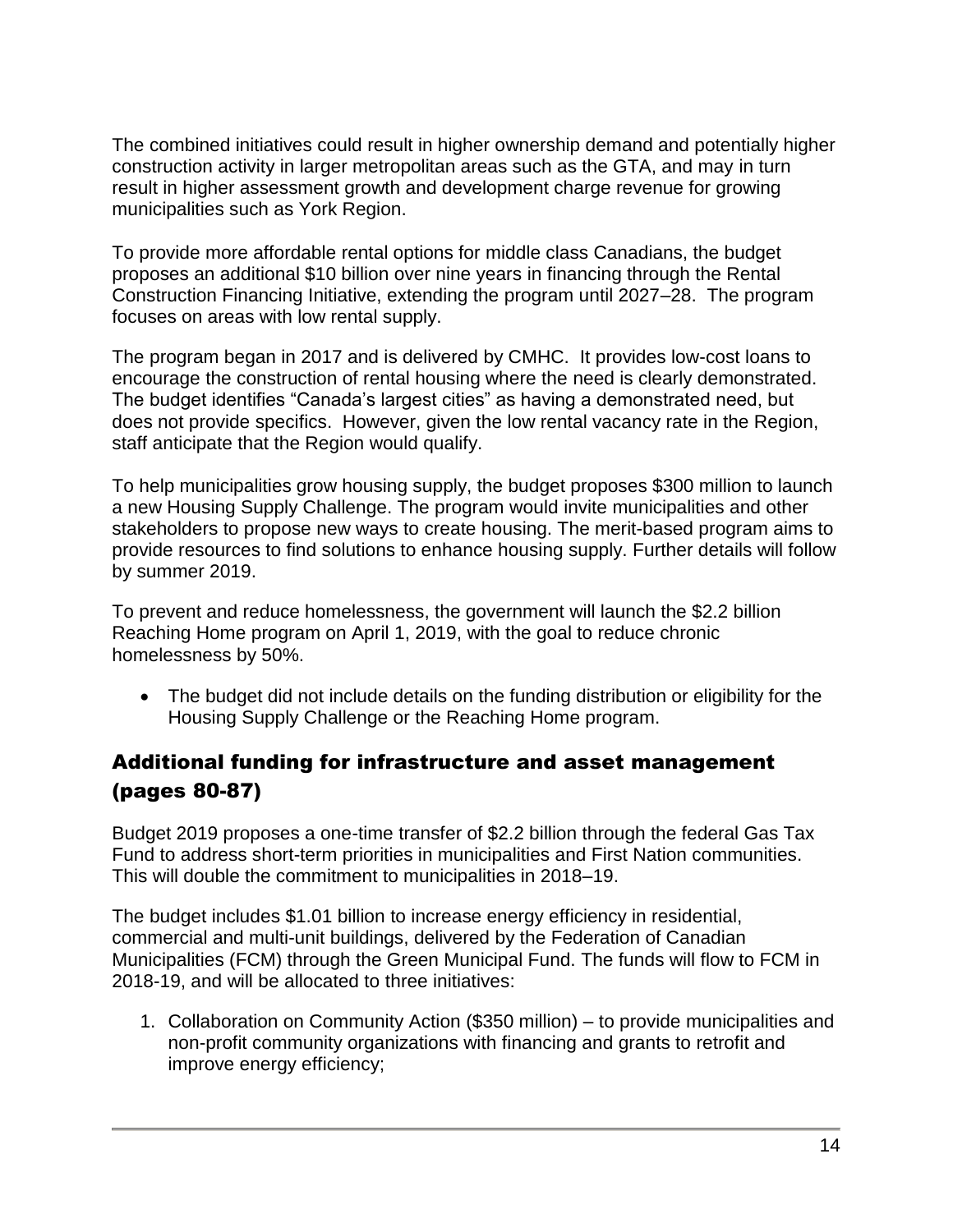The combined initiatives could result in higher ownership demand and potentially higher construction activity in larger metropolitan areas such as the GTA, and may in turn result in higher assessment growth and development charge revenue for growing municipalities such as York Region.

To provide more affordable rental options for middle class Canadians, the budget proposes an additional \$10 billion over nine years in financing through the Rental Construction Financing Initiative, extending the program until 2027–28. The program focuses on areas with low rental supply.

The program began in 2017 and is delivered by CMHC. It provides low-cost loans to encourage the construction of rental housing where the need is clearly demonstrated. The budget identifies "Canada's largest cities" as having a demonstrated need, but does not provide specifics. However, given the low rental vacancy rate in the Region, staff anticipate that the Region would qualify.

To help municipalities grow housing supply, the budget proposes \$300 million to launch a new Housing Supply Challenge. The program would invite municipalities and other stakeholders to propose new ways to create housing. The merit-based program aims to provide resources to find solutions to enhance housing supply. Further details will follow by summer 2019.

To prevent and reduce homelessness, the government will launch the \$2.2 billion Reaching Home program on April 1, 2019, with the goal to reduce chronic homelessness by 50%.

• The budget did not include details on the funding distribution or eligibility for the Housing Supply Challenge or the Reaching Home program.

# Additional funding for infrastructure and asset management (pages 80-87)

Budget 2019 proposes a one-time transfer of \$2.2 billion through the federal Gas Tax Fund to address short-term priorities in municipalities and First Nation communities. This will double the commitment to municipalities in 2018–19.

The budget includes \$1.01 billion to increase energy efficiency in residential, commercial and multi-unit buildings, delivered by the Federation of Canadian Municipalities (FCM) through the Green Municipal Fund. The funds will flow to FCM in 2018-19, and will be allocated to three initiatives:

1. Collaboration on Community Action (\$350 million) – to provide municipalities and non-profit community organizations with financing and grants to retrofit and improve energy efficiency;